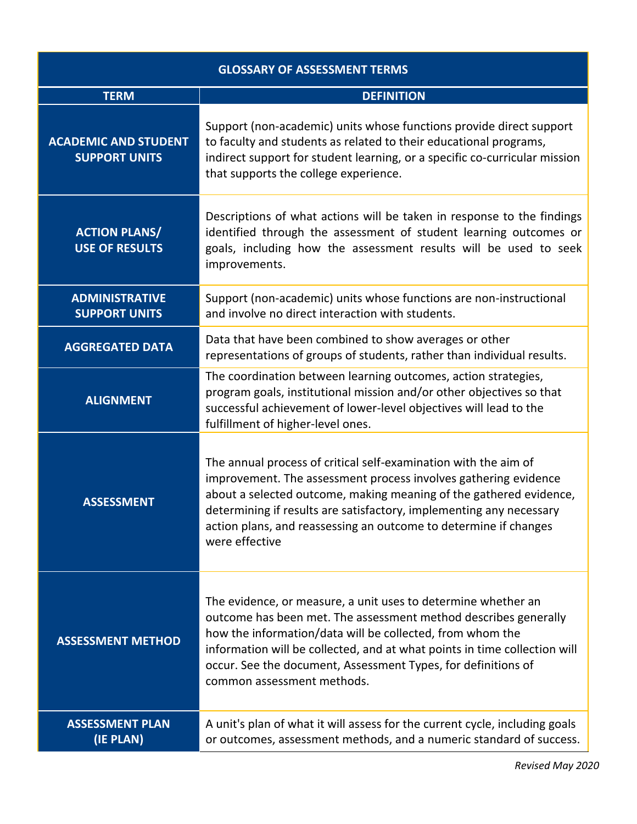| <b>GLOSSARY OF ASSESSMENT TERMS</b>                 |                                                                                                                                                                                                                                                                                                                                                                           |  |
|-----------------------------------------------------|---------------------------------------------------------------------------------------------------------------------------------------------------------------------------------------------------------------------------------------------------------------------------------------------------------------------------------------------------------------------------|--|
| <b>TERM</b>                                         | <b>DEFINITION</b>                                                                                                                                                                                                                                                                                                                                                         |  |
| <b>ACADEMIC AND STUDENT</b><br><b>SUPPORT UNITS</b> | Support (non-academic) units whose functions provide direct support<br>to faculty and students as related to their educational programs,<br>indirect support for student learning, or a specific co-curricular mission<br>that supports the college experience.                                                                                                           |  |
| <b>ACTION PLANS/</b><br><b>USE OF RESULTS</b>       | Descriptions of what actions will be taken in response to the findings<br>identified through the assessment of student learning outcomes or<br>goals, including how the assessment results will be used to seek<br>improvements.                                                                                                                                          |  |
| <b>ADMINISTRATIVE</b><br><b>SUPPORT UNITS</b>       | Support (non-academic) units whose functions are non-instructional<br>and involve no direct interaction with students.                                                                                                                                                                                                                                                    |  |
| <b>AGGREGATED DATA</b>                              | Data that have been combined to show averages or other<br>representations of groups of students, rather than individual results.                                                                                                                                                                                                                                          |  |
| <b>ALIGNMENT</b>                                    | The coordination between learning outcomes, action strategies,<br>program goals, institutional mission and/or other objectives so that<br>successful achievement of lower-level objectives will lead to the<br>fulfillment of higher-level ones.                                                                                                                          |  |
| <b>ASSESSMENT</b>                                   | The annual process of critical self-examination with the aim of<br>improvement. The assessment process involves gathering evidence<br>about a selected outcome, making meaning of the gathered evidence,<br>determining if results are satisfactory, implementing any necessary<br>action plans, and reassessing an outcome to determine if changes<br>were effective     |  |
| <b>ASSESSMENT METHOD</b>                            | The evidence, or measure, a unit uses to determine whether an<br>outcome has been met. The assessment method describes generally<br>how the information/data will be collected, from whom the<br>information will be collected, and at what points in time collection will<br>occur. See the document, Assessment Types, for definitions of<br>common assessment methods. |  |
| <b>ASSESSMENT PLAN</b><br>(IE PLAN)                 | A unit's plan of what it will assess for the current cycle, including goals<br>or outcomes, assessment methods, and a numeric standard of success.                                                                                                                                                                                                                        |  |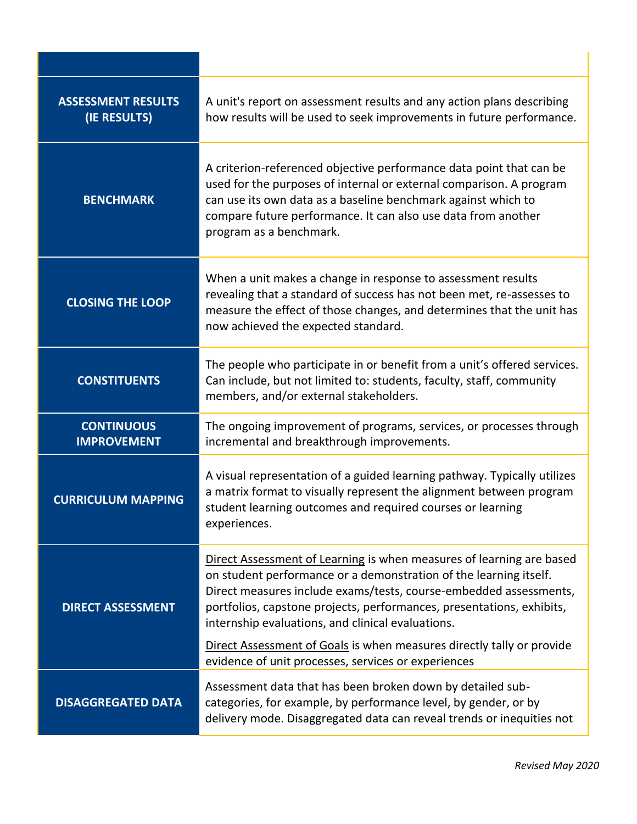| <b>ASSESSMENT RESULTS</b><br>(IE RESULTS) | A unit's report on assessment results and any action plans describing<br>how results will be used to seek improvements in future performance.                                                                                                                                                                                                                                                                                                                                |
|-------------------------------------------|------------------------------------------------------------------------------------------------------------------------------------------------------------------------------------------------------------------------------------------------------------------------------------------------------------------------------------------------------------------------------------------------------------------------------------------------------------------------------|
| <b>BENCHMARK</b>                          | A criterion-referenced objective performance data point that can be<br>used for the purposes of internal or external comparison. A program<br>can use its own data as a baseline benchmark against which to<br>compare future performance. It can also use data from another<br>program as a benchmark.                                                                                                                                                                      |
| <b>CLOSING THE LOOP</b>                   | When a unit makes a change in response to assessment results<br>revealing that a standard of success has not been met, re-assesses to<br>measure the effect of those changes, and determines that the unit has<br>now achieved the expected standard.                                                                                                                                                                                                                        |
| <b>CONSTITUENTS</b>                       | The people who participate in or benefit from a unit's offered services.<br>Can include, but not limited to: students, faculty, staff, community<br>members, and/or external stakeholders.                                                                                                                                                                                                                                                                                   |
| <b>CONTINUOUS</b><br><b>IMPROVEMENT</b>   | The ongoing improvement of programs, services, or processes through<br>incremental and breakthrough improvements.                                                                                                                                                                                                                                                                                                                                                            |
| <b>CURRICULUM MAPPING</b>                 | A visual representation of a guided learning pathway. Typically utilizes<br>a matrix format to visually represent the alignment between program<br>student learning outcomes and required courses or learning<br>experiences.                                                                                                                                                                                                                                                |
| <b>DIRECT ASSESSMENT</b>                  | Direct Assessment of Learning is when measures of learning are based<br>on student performance or a demonstration of the learning itself.<br>Direct measures include exams/tests, course-embedded assessments,<br>portfolios, capstone projects, performances, presentations, exhibits,<br>internship evaluations, and clinical evaluations.<br>Direct Assessment of Goals is when measures directly tally or provide<br>evidence of unit processes, services or experiences |
| <b>DISAGGREGATED DATA</b>                 | Assessment data that has been broken down by detailed sub-<br>categories, for example, by performance level, by gender, or by<br>delivery mode. Disaggregated data can reveal trends or inequities not                                                                                                                                                                                                                                                                       |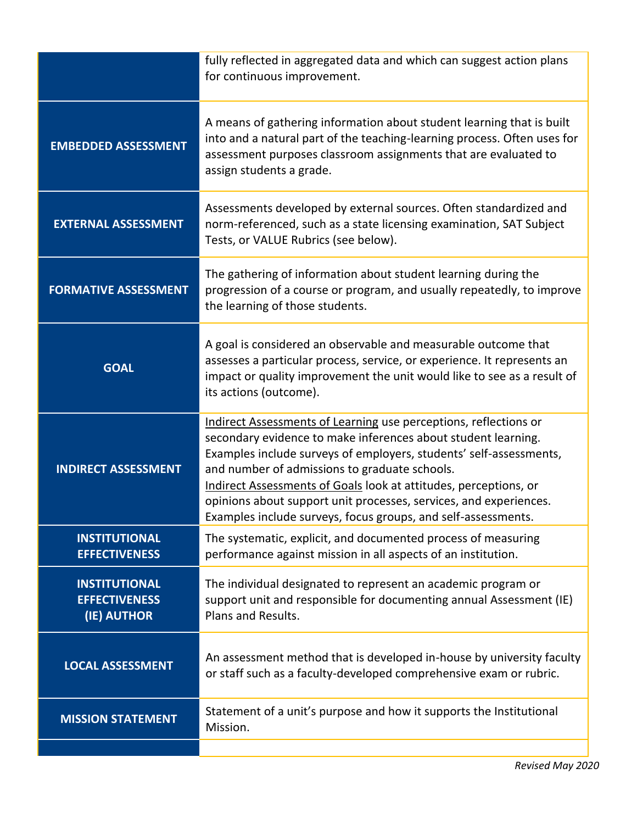|                                                             | fully reflected in aggregated data and which can suggest action plans<br>for continuous improvement.                                                                                                                                                                                                                                                                                                                                                               |
|-------------------------------------------------------------|--------------------------------------------------------------------------------------------------------------------------------------------------------------------------------------------------------------------------------------------------------------------------------------------------------------------------------------------------------------------------------------------------------------------------------------------------------------------|
| <b>EMBEDDED ASSESSMENT</b>                                  | A means of gathering information about student learning that is built<br>into and a natural part of the teaching-learning process. Often uses for<br>assessment purposes classroom assignments that are evaluated to<br>assign students a grade.                                                                                                                                                                                                                   |
| <b>EXTERNAL ASSESSMENT</b>                                  | Assessments developed by external sources. Often standardized and<br>norm-referenced, such as a state licensing examination, SAT Subject<br>Tests, or VALUE Rubrics (see below).                                                                                                                                                                                                                                                                                   |
| <b>FORMATIVE ASSESSMENT</b>                                 | The gathering of information about student learning during the<br>progression of a course or program, and usually repeatedly, to improve<br>the learning of those students.                                                                                                                                                                                                                                                                                        |
| <b>GOAL</b>                                                 | A goal is considered an observable and measurable outcome that<br>assesses a particular process, service, or experience. It represents an<br>impact or quality improvement the unit would like to see as a result of<br>its actions (outcome).                                                                                                                                                                                                                     |
| <b>INDIRECT ASSESSMENT</b>                                  | Indirect Assessments of Learning use perceptions, reflections or<br>secondary evidence to make inferences about student learning.<br>Examples include surveys of employers, students' self-assessments,<br>and number of admissions to graduate schools.<br>Indirect Assessments of Goals look at attitudes, perceptions, or<br>opinions about support unit processes, services, and experiences.<br>Examples include surveys, focus groups, and self-assessments. |
| <b>INSTITUTIONAL</b><br><b>EFFECTIVENESS</b>                | The systematic, explicit, and documented process of measuring<br>performance against mission in all aspects of an institution.                                                                                                                                                                                                                                                                                                                                     |
| <b>INSTITUTIONAL</b><br><b>EFFECTIVENESS</b><br>(IE) AUTHOR | The individual designated to represent an academic program or<br>support unit and responsible for documenting annual Assessment (IE)<br>Plans and Results.                                                                                                                                                                                                                                                                                                         |
| <b>LOCAL ASSESSMENT</b>                                     | An assessment method that is developed in-house by university faculty<br>or staff such as a faculty-developed comprehensive exam or rubric.                                                                                                                                                                                                                                                                                                                        |
| <b>MISSION STATEMENT</b>                                    | Statement of a unit's purpose and how it supports the Institutional<br>Mission.                                                                                                                                                                                                                                                                                                                                                                                    |
|                                                             |                                                                                                                                                                                                                                                                                                                                                                                                                                                                    |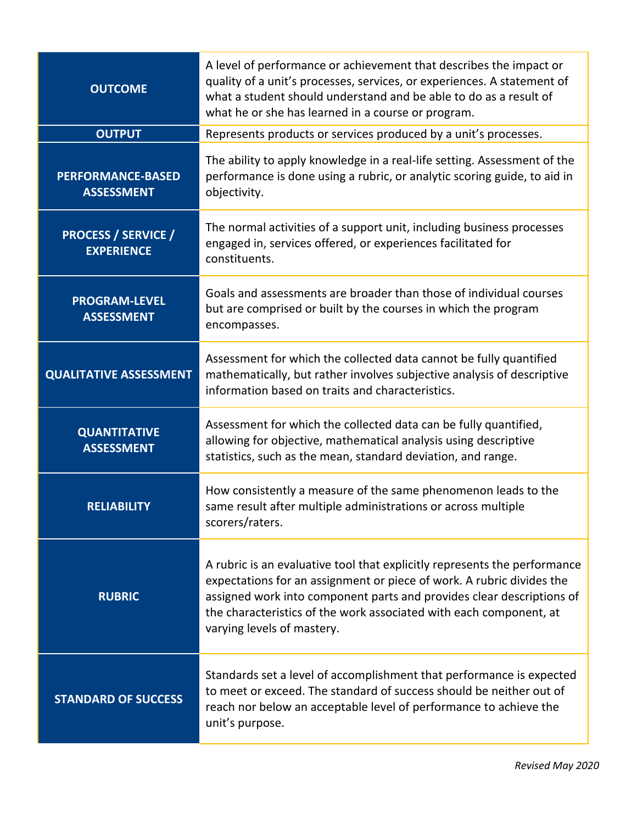| <b>OUTCOME</b>                                  | A level of performance or achievement that describes the impact or<br>quality of a unit's processes, services, or experiences. A statement of<br>what a student should understand and be able to do as a result of<br>what he or she has learned in a course or program.                                                        |
|-------------------------------------------------|---------------------------------------------------------------------------------------------------------------------------------------------------------------------------------------------------------------------------------------------------------------------------------------------------------------------------------|
| <b>OUTPUT</b>                                   | Represents products or services produced by a unit's processes.                                                                                                                                                                                                                                                                 |
| <b>PERFORMANCE-BASED</b><br><b>ASSESSMENT</b>   | The ability to apply knowledge in a real-life setting. Assessment of the<br>performance is done using a rubric, or analytic scoring guide, to aid in<br>objectivity.                                                                                                                                                            |
| <b>PROCESS / SERVICE /</b><br><b>EXPERIENCE</b> | The normal activities of a support unit, including business processes<br>engaged in, services offered, or experiences facilitated for<br>constituents.                                                                                                                                                                          |
| <b>PROGRAM-LEVEL</b><br><b>ASSESSMENT</b>       | Goals and assessments are broader than those of individual courses<br>but are comprised or built by the courses in which the program<br>encompasses.                                                                                                                                                                            |
| <b>QUALITATIVE ASSESSMENT</b>                   | Assessment for which the collected data cannot be fully quantified<br>mathematically, but rather involves subjective analysis of descriptive<br>information based on traits and characteristics.                                                                                                                                |
| <b>QUANTITATIVE</b><br><b>ASSESSMENT</b>        | Assessment for which the collected data can be fully quantified,<br>allowing for objective, mathematical analysis using descriptive<br>statistics, such as the mean, standard deviation, and range.                                                                                                                             |
| <b>RELIABILITY</b>                              | How consistently a measure of the same phenomenon leads to the<br>same result after multiple administrations or across multiple<br>scorers/raters.                                                                                                                                                                              |
| <b>RUBRIC</b>                                   | A rubric is an evaluative tool that explicitly represents the performance<br>expectations for an assignment or piece of work. A rubric divides the<br>assigned work into component parts and provides clear descriptions of<br>the characteristics of the work associated with each component, at<br>varying levels of mastery. |
| <b>STANDARD OF SUCCESS</b>                      | Standards set a level of accomplishment that performance is expected<br>to meet or exceed. The standard of success should be neither out of<br>reach nor below an acceptable level of performance to achieve the<br>unit's purpose.                                                                                             |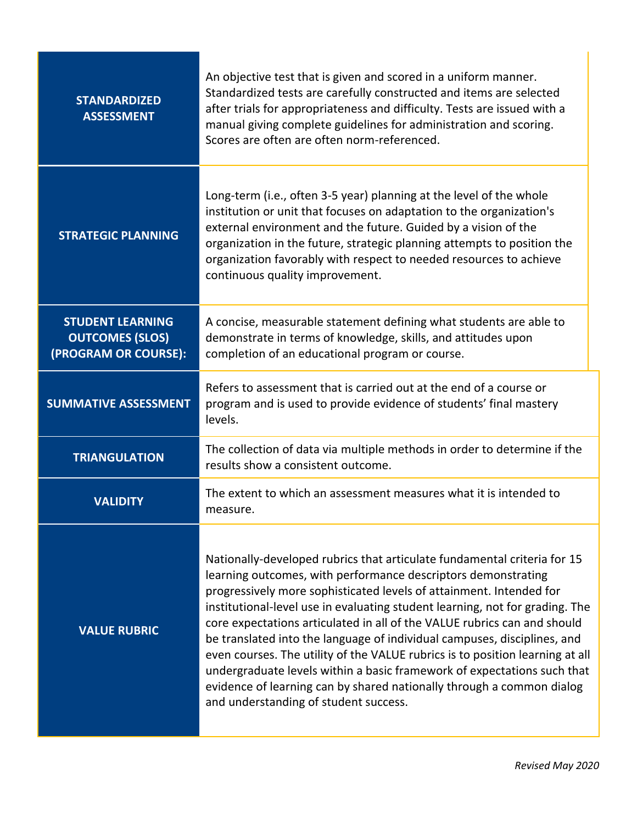| <b>STANDARDIZED</b><br><b>ASSESSMENT</b>                                  | An objective test that is given and scored in a uniform manner.<br>Standardized tests are carefully constructed and items are selected<br>after trials for appropriateness and difficulty. Tests are issued with a<br>manual giving complete guidelines for administration and scoring.<br>Scores are often are often norm-referenced.                                                                                                                                                                                                                                                                                                                                                                                                 |
|---------------------------------------------------------------------------|----------------------------------------------------------------------------------------------------------------------------------------------------------------------------------------------------------------------------------------------------------------------------------------------------------------------------------------------------------------------------------------------------------------------------------------------------------------------------------------------------------------------------------------------------------------------------------------------------------------------------------------------------------------------------------------------------------------------------------------|
| <b>STRATEGIC PLANNING</b>                                                 | Long-term (i.e., often 3-5 year) planning at the level of the whole<br>institution or unit that focuses on adaptation to the organization's<br>external environment and the future. Guided by a vision of the<br>organization in the future, strategic planning attempts to position the<br>organization favorably with respect to needed resources to achieve<br>continuous quality improvement.                                                                                                                                                                                                                                                                                                                                      |
| <b>STUDENT LEARNING</b><br><b>OUTCOMES (SLOS)</b><br>(PROGRAM OR COURSE): | A concise, measurable statement defining what students are able to<br>demonstrate in terms of knowledge, skills, and attitudes upon<br>completion of an educational program or course.                                                                                                                                                                                                                                                                                                                                                                                                                                                                                                                                                 |
| <b>SUMMATIVE ASSESSMENT</b>                                               | Refers to assessment that is carried out at the end of a course or<br>program and is used to provide evidence of students' final mastery<br>levels.                                                                                                                                                                                                                                                                                                                                                                                                                                                                                                                                                                                    |
| <b>TRIANGULATION</b>                                                      | The collection of data via multiple methods in order to determine if the<br>results show a consistent outcome.                                                                                                                                                                                                                                                                                                                                                                                                                                                                                                                                                                                                                         |
| <b>VALIDITY</b>                                                           | The extent to which an assessment measures what it is intended to<br>measure.                                                                                                                                                                                                                                                                                                                                                                                                                                                                                                                                                                                                                                                          |
| <b>VALUE RUBRIC</b>                                                       | Nationally-developed rubrics that articulate fundamental criteria for 15<br>learning outcomes, with performance descriptors demonstrating<br>progressively more sophisticated levels of attainment. Intended for<br>institutional-level use in evaluating student learning, not for grading. The<br>core expectations articulated in all of the VALUE rubrics can and should<br>be translated into the language of individual campuses, disciplines, and<br>even courses. The utility of the VALUE rubrics is to position learning at all<br>undergraduate levels within a basic framework of expectations such that<br>evidence of learning can by shared nationally through a common dialog<br>and understanding of student success. |